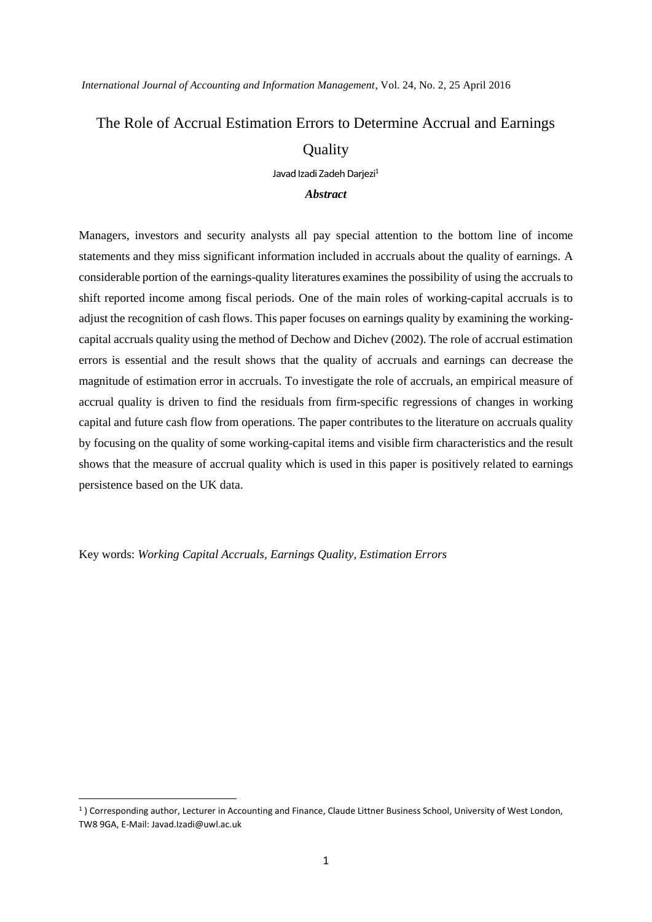*International Journal of Accounting and Information Management*, Vol. 24, No. 2, 25 April 2016

# The Role of Accrual Estimation Errors to Determine Accrual and Earnings **Quality**

Javad Izadi Zadeh Darjezi<sup>1</sup>

## *Abstract*

Managers, investors and security analysts all pay special attention to the bottom line of income statements and they miss significant information included in accruals about the quality of earnings. A considerable portion of the earnings-quality literatures examines the possibility of using the accruals to shift reported income among fiscal periods. One of the main roles of working-capital accruals is to adjust the recognition of cash flows. This paper focuses on earnings quality by examining the workingcapital accruals quality using the method of Dechow and Dichev (2002). The role of accrual estimation errors is essential and the result shows that the quality of accruals and earnings can decrease the magnitude of estimation error in accruals. To investigate the role of accruals, an empirical measure of accrual quality is driven to find the residuals from firm-specific regressions of changes in working capital and future cash flow from operations. The paper contributes to the literature on accruals quality by focusing on the quality of some working-capital items and visible firm characteristics and the result shows that the measure of accrual quality which is used in this paper is positively related to earnings persistence based on the UK data.

Key words: *Working Capital Accruals, Earnings Quality, Estimation Errors*

1

<sup>1</sup> ) Corresponding author, Lecturer in Accounting and Finance, Claude Littner Business School, University of West London, TW8 9GA, E-Mail: Javad.Izadi@uwl.ac.uk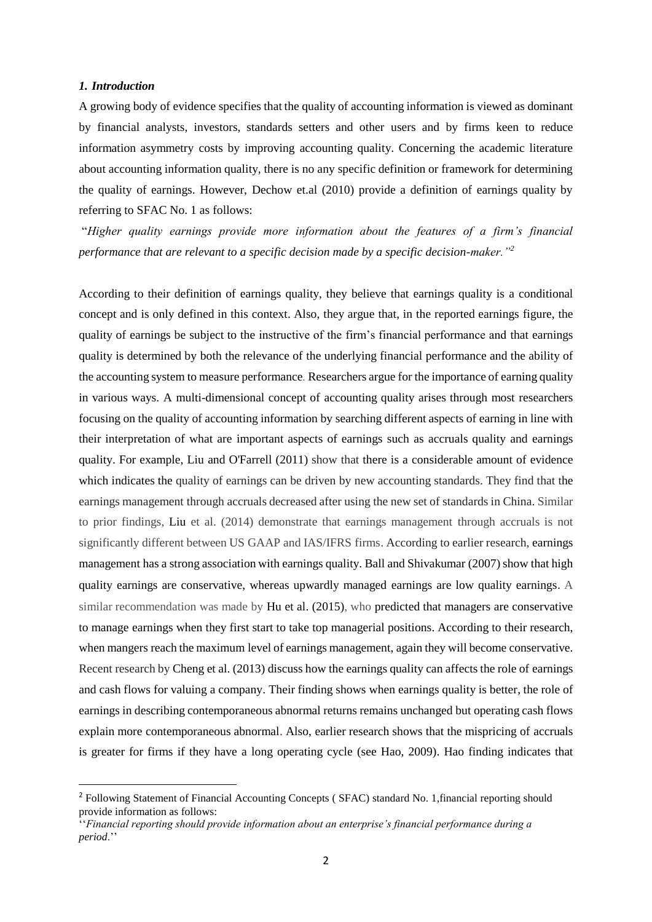#### *1. Introduction*

**.** 

A growing body of evidence specifies that the quality of accounting information is viewed as dominant by financial analysts, investors, standards setters and other users and by firms keen to reduce information asymmetry costs by improving accounting quality. Concerning the academic literature about accounting information quality, there is no any specific definition or framework for determining the quality of earnings. However, Dechow et.al (2010) provide a definition of earnings quality by referring to SFAC No. 1 as follows:

"*Higher quality earnings provide more information about the features of a firm's financial performance that are relevant to a specific decision made by a specific decision-maker."<sup>2</sup>*

According to their definition of earnings quality, they believe that earnings quality is a conditional concept and is only defined in this context. Also, they argue that, in the reported earnings figure, the quality of earnings be subject to the instructive of the firm's financial performance and that earnings quality is determined by both the relevance of the underlying financial performance and the ability of the accounting system to measure performance. Researchers argue for the importance of earning quality in various ways. A multi-dimensional concept of accounting quality arises through most researchers focusing on the quality of accounting information by searching different aspects of earning in line with their interpretation of what are important aspects of earnings such as accruals quality and earnings quality. For example, Liu and O'Farrell (2011) show that there is a considerable amount of evidence which indicates the quality of earnings can be driven by new accounting standards. They find that the earnings management through accruals decreased after using the new set of standards in China. Similar to prior findings, Liu et al. (2014) demonstrate that earnings management through accruals is not significantly different between US GAAP and IAS/IFRS firms. According to earlier research, earnings management has a strong association with earnings quality. Ball and Shivakumar (2007) show that high quality earnings are conservative, whereas upwardly managed earnings are low quality earnings. A similar recommendation was made by Hu et al. (2015), who predicted that managers are conservative to manage earnings when they first start to take top managerial positions. According to their research, when mangers reach the maximum level of earnings management, again they will become conservative. Recent research by Cheng et al. (2013) discuss how the earnings quality can affects the role of earnings and cash flows for valuing a company. Their finding shows when earnings quality is better, the role of earnings in describing contemporaneous abnormal returns remains unchanged but operating cash flows explain more contemporaneous abnormal. Also, earlier research shows that the mispricing of accruals is greater for firms if they have a long operating cycle (see Hao, 2009). Hao finding indicates that

<sup>&</sup>lt;sup>2</sup> Following Statement of Financial Accounting Concepts (SFAC) standard No. 1, financial reporting should provide information as follows:

<sup>&#</sup>x27;'*Financial reporting should provide information about an enterprise's financial performance during a period*.''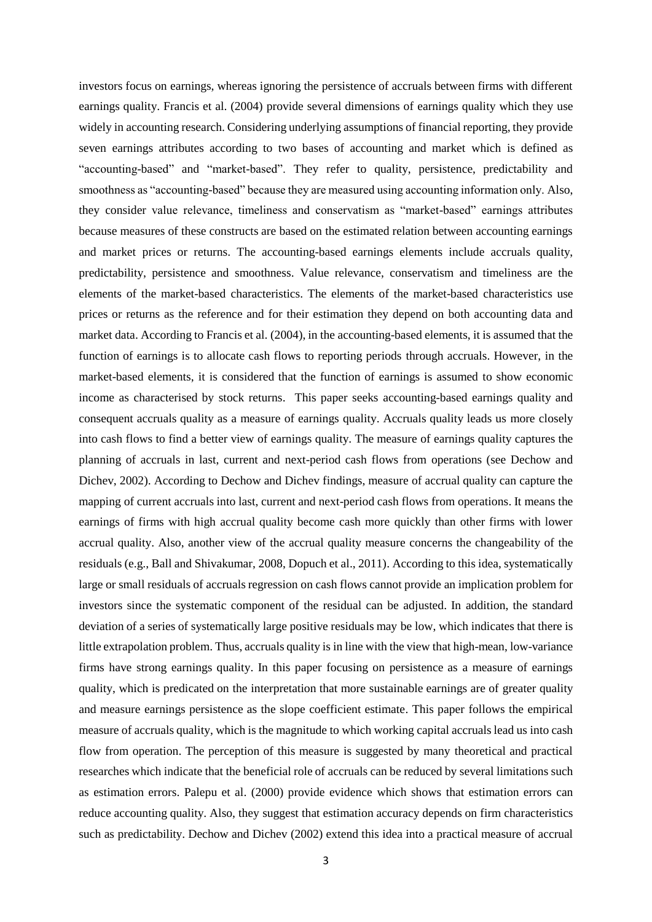investors focus on earnings, whereas ignoring the persistence of accruals between firms with different earnings quality. Francis et al. (2004) provide several dimensions of earnings quality which they use widely in accounting research. Considering underlying assumptions of financial reporting, they provide seven earnings attributes according to two bases of accounting and market which is defined as "accounting-based" and "market-based". They refer to quality, persistence, predictability and smoothness as "accounting-based" because they are measured using accounting information only. Also, they consider value relevance, timeliness and conservatism as "market-based" earnings attributes because measures of these constructs are based on the estimated relation between accounting earnings and market prices or returns. The accounting-based earnings elements include accruals quality, predictability, persistence and smoothness. Value relevance, conservatism and timeliness are the elements of the market-based characteristics. The elements of the market-based characteristics use prices or returns as the reference and for their estimation they depend on both accounting data and market data. According to Francis et al. (2004), in the accounting-based elements, it is assumed that the function of earnings is to allocate cash flows to reporting periods through accruals. However, in the market-based elements, it is considered that the function of earnings is assumed to show economic income as characterised by stock returns. This paper seeks accounting-based earnings quality and consequent accruals quality as a measure of earnings quality. Accruals quality leads us more closely into cash flows to find a better view of earnings quality. The measure of earnings quality captures the planning of accruals in last, current and next-period cash flows from operations (see Dechow and Dichev, 2002). According to Dechow and Dichev findings, measure of accrual quality can capture the mapping of current accruals into last, current and next-period cash flows from operations. It means the earnings of firms with high accrual quality become cash more quickly than other firms with lower accrual quality. Also, another view of the accrual quality measure concerns the changeability of the residuals (e.g., Ball and Shivakumar, 2008, Dopuch et al., 2011). According to this idea, systematically large or small residuals of accruals regression on cash flows cannot provide an implication problem for investors since the systematic component of the residual can be adjusted. In addition, the standard deviation of a series of systematically large positive residuals may be low, which indicates that there is little extrapolation problem. Thus, accruals quality is in line with the view that high-mean, low-variance firms have strong earnings quality. In this paper focusing on persistence as a measure of earnings quality, which is predicated on the interpretation that more sustainable earnings are of greater quality and measure earnings persistence as the slope coefficient estimate. This paper follows the empirical measure of accruals quality, which is the magnitude to which working capital accruals lead us into cash flow from operation. The perception of this measure is suggested by many theoretical and practical researches which indicate that the beneficial role of accruals can be reduced by several limitations such as estimation errors. Palepu et al. (2000) provide evidence which shows that estimation errors can reduce accounting quality. Also, they suggest that estimation accuracy depends on firm characteristics such as predictability. Dechow and Dichev (2002) extend this idea into a practical measure of accrual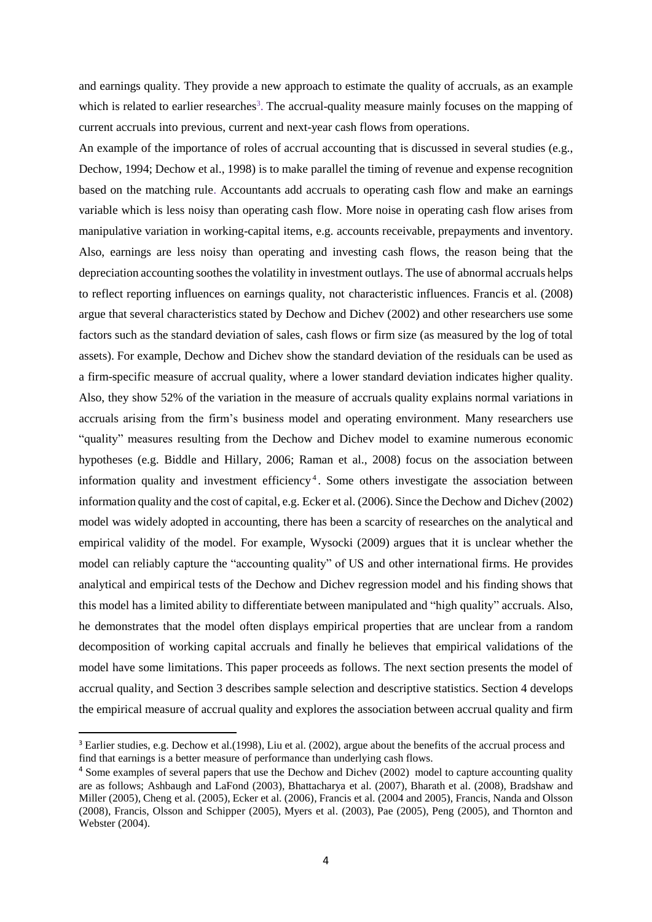and earnings quality. They provide a new approach to estimate the quality of accruals, as an example which is related to earlier researches<sup>3</sup>. The accrual-quality measure mainly focuses on the mapping of current accruals into previous, current and next-year cash flows from operations.

An example of the importance of roles of accrual accounting that is discussed in several studies (e.g., Dechow, 1994; Dechow et al., 1998) is to make parallel the timing of revenue and expense recognition based on the matching rule. Accountants add accruals to operating cash flow and make an earnings variable which is less noisy than operating cash flow. More noise in operating cash flow arises from manipulative variation in working-capital items, e.g. accounts receivable, prepayments and inventory. Also, earnings are less noisy than operating and investing cash flows, the reason being that the depreciation accounting soothes the volatility in investment outlays. The use of abnormal accruals helps to reflect reporting influences on earnings quality, not characteristic influences. Francis et al. (2008) argue that several characteristics stated by Dechow and Dichev (2002) and other researchers use some factors such as the standard deviation of sales, cash flows or firm size (as measured by the log of total assets). For example, Dechow and Dichev show the standard deviation of the residuals can be used as a firm-specific measure of accrual quality, where a lower standard deviation indicates higher quality. Also, they show 52% of the variation in the measure of accruals quality explains normal variations in accruals arising from the firm's business model and operating environment. Many researchers use "quality" measures resulting from the Dechow and Dichev model to examine numerous economic hypotheses (e.g. Biddle and Hillary, 2006; Raman et al., 2008) focus on the association between information quality and investment efficiency<sup>4</sup>. Some others investigate the association between information quality and the cost of capital, e.g. Ecker et al. (2006). Since the Dechow and Dichev (2002) model was widely adopted in accounting, there has been a scarcity of researches on the analytical and empirical validity of the model. For example, Wysocki (2009) argues that it is unclear whether the model can reliably capture the "accounting quality" of US and other international firms. He provides analytical and empirical tests of the Dechow and Dichev regression model and his finding shows that this model has a limited ability to differentiate between manipulated and "high quality" accruals. Also, he demonstrates that the model often displays empirical properties that are unclear from a random decomposition of working capital accruals and finally he believes that empirical validations of the model have some limitations. This paper proceeds as follows. The next section presents the model of accrual quality, and Section 3 describes sample selection and descriptive statistics. Section 4 develops the empirical measure of accrual quality and explores the association between accrual quality and firm

**.** 

<sup>3</sup> Earlier studies, e.g. Dechow et al.(1998), Liu et al. (2002), argue about the benefits of the accrual process and find that earnings is a better measure of performance than underlying cash flows.

<sup>&</sup>lt;sup>4</sup> Some examples of several papers that use the Dechow and Dichev (2002) model to capture accounting quality are as follows; Ashbaugh and LaFond (2003), Bhattacharya et al. (2007), Bharath et al. (2008), Bradshaw and Miller (2005), Cheng et al. (2005), Ecker et al. (2006), Francis et al. (2004 and 2005), Francis, Nanda and Olsson (2008), Francis, Olsson and Schipper (2005), Myers et al. (2003), Pae (2005), Peng (2005), and Thornton and Webster (2004).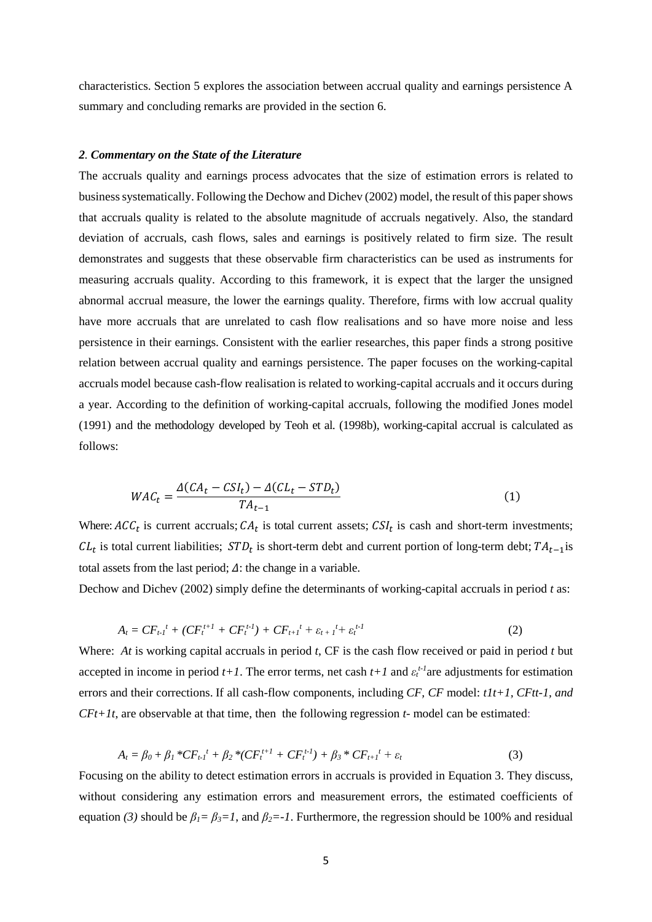characteristics. Section 5 explores the association between accrual quality and earnings persistence A summary and concluding remarks are provided in the section 6.

## *2. Commentary on the State of the Literature*

The accruals quality and earnings process advocates that the size of estimation errors is related to business systematically. Following the Dechow and Dichev (2002) model, the result of this paper shows that accruals quality is related to the absolute magnitude of accruals negatively. Also, the standard deviation of accruals, cash flows, sales and earnings is positively related to firm size. The result demonstrates and suggests that these observable firm characteristics can be used as instruments for measuring accruals quality. According to this framework, it is expect that the larger the unsigned abnormal accrual measure, the lower the earnings quality. Therefore, firms with low accrual quality have more accruals that are unrelated to cash flow realisations and so have more noise and less persistence in their earnings. Consistent with the earlier researches, this paper finds a strong positive relation between accrual quality and earnings persistence. The paper focuses on the working-capital accruals model because cash-flow realisation is related to working-capital accruals and it occurs during a year. According to the definition of working-capital accruals, following the modified Jones model (1991) and the methodology developed by Teoh et al. (1998b), working-capital accrual is calculated as follows:

$$
WAC_t = \frac{\Delta(CA_t - CSI_t) - \Delta(CL_t - STD_t)}{TA_{t-1}}
$$
\n(1)

Where:  $ACC_t$  is current accruals;  $CA_t$  is total current assets;  $CSI_t$  is cash and short-term investments;  $CL_t$  is total current liabilities;  $STD_t$  is short-term debt and current portion of long-term debt;  $TA_{t-1}$  is total assets from the last period;  $\Delta$ : the change in a variable.

Dechow and Dichev (2002) simply define the determinants of working-capital accruals in period *t* as:

$$
A_t = CF_{t-1}{}^t + (CF_t^{t+1} + CF_t^{t-1}) + CF_{t+1}{}^t + \varepsilon_{t+1}{}^t + \varepsilon_t^{t-1}
$$
\n<sup>(2)</sup>

Where: *At* is working capital accruals in period *t*, CF is the cash flow received or paid in period *t* but accepted in income in period  $t+1$ . The error terms, net cash  $t+1$  and  $\varepsilon_t^{t-1}$  are adjustments for estimation errors and their corrections. If all cash-flow components, including *CF, CF* model: *t1t+1, CFtt-1, and CFt+1t*, are observable at that time, then the following regression *t-* model can be estimated:

$$
A_t = \beta_0 + \beta_1 * CF_{t-1}{}^t + \beta_2 * (CF_t^{t+1} + CF_t^{t-1}) + \beta_3 * CF_{t+1}{}^t + \varepsilon_t
$$
\n(3)

Focusing on the ability to detect estimation errors in accruals is provided in Equation 3. They discuss, without considering any estimation errors and measurement errors, the estimated coefficients of equation (3) should be  $\beta_l = \beta_3 = 1$ , and  $\beta_2 = -1$ . Furthermore, the regression should be 100% and residual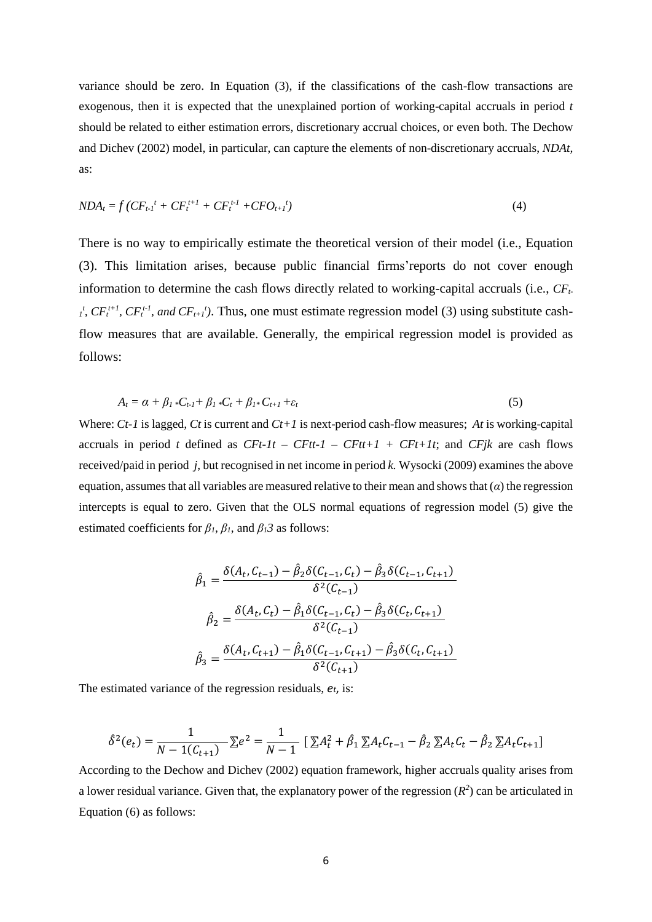variance should be zero. In Equation (3), if the classifications of the cash-flow transactions are exogenous, then it is expected that the unexplained portion of working-capital accruals in period *t* should be related to either estimation errors, discretionary accrual choices, or even both. The Dechow and Dichev (2002) model, in particular, can capture the elements of non-discretionary accruals, *NDAt,*  as:

$$
NDA_t = f(CF_{t-1}^t + CF_t^{t+1} + CF_t^{t-1} + CFO_{t+1}^t)
$$
\n<sup>(4)</sup>

There is no way to empirically estimate the theoretical version of their model (i.e., Equation (3). This limitation arises, because public financial firms'reports do not cover enough information to determine the cash flows directly related to working-capital accruals (i.e., *CFt-* $T_t^t$ ,  $CF_t^{t+1}$ ,  $CF_t^{t-1}$ , and  $CF_{t+1}^t$ ). Thus, one must estimate regression model (3) using substitute cashflow measures that are available. Generally, the empirical regression model is provided as follows:

$$
A_t = \alpha + \beta_1 * C_{t-1} + \beta_1 * C_t + \beta_1 * C_{t+1} + \varepsilon_t \tag{5}
$$

Where: *Ct-1* is lagged*, Ct* is current and *Ct+1* is next-period cash-flow measures; *At* is working-capital accruals in period *t* defined as  $CFt-It - CFtt-1 - CFtt+1 + CFt+It$ ; and  $CFjk$  are cash flows received/paid in period *j*, but recognised in net income in period *k.* Wysocki (2009) examines the above equation, assumes that all variables are measured relative to their mean and shows that (*α*) the regression intercepts is equal to zero. Given that the OLS normal equations of regression model (5) give the estimated coefficients for  $\beta_l$ ,  $\beta_l$ , and  $\beta_l$ *3* as follows:

$$
\hat{\beta}_1 = \frac{\delta(A_t, C_{t-1}) - \hat{\beta}_2 \delta(C_{t-1}, C_t) - \hat{\beta}_3 \delta(C_{t-1}, C_{t+1})}{\delta^2(C_{t-1})}
$$
\n
$$
\hat{\beta}_2 = \frac{\delta(A_t, C_t) - \hat{\beta}_1 \delta(C_{t-1}, C_t) - \hat{\beta}_3 \delta(C_t, C_{t+1})}{\delta^2(C_{t-1})}
$$
\n
$$
\hat{\beta}_3 = \frac{\delta(A_t, C_{t+1}) - \hat{\beta}_1 \delta(C_{t-1}, C_{t+1}) - \hat{\beta}_3 \delta(C_t, C_{t+1})}{\delta^2(C_{t+1})}
$$

The estimated variance of the regression residuals, *et*, is:

$$
\hat{\delta}^{2}(e_{t}) = \frac{1}{N - 1(C_{t+1})} \sum e^{2} = \frac{1}{N - 1} \left[ \sum A_{t}^{2} + \hat{\beta}_{1} \sum A_{t} C_{t-1} - \hat{\beta}_{2} \sum A_{t} C_{t} - \hat{\beta}_{2} \sum A_{t} C_{t+1} \right]
$$

According to the Dechow and Dichev (2002) equation framework, higher accruals quality arises from a lower residual variance. Given that, the explanatory power of the regression  $(R^2)$  can be articulated in Equation (6) as follows: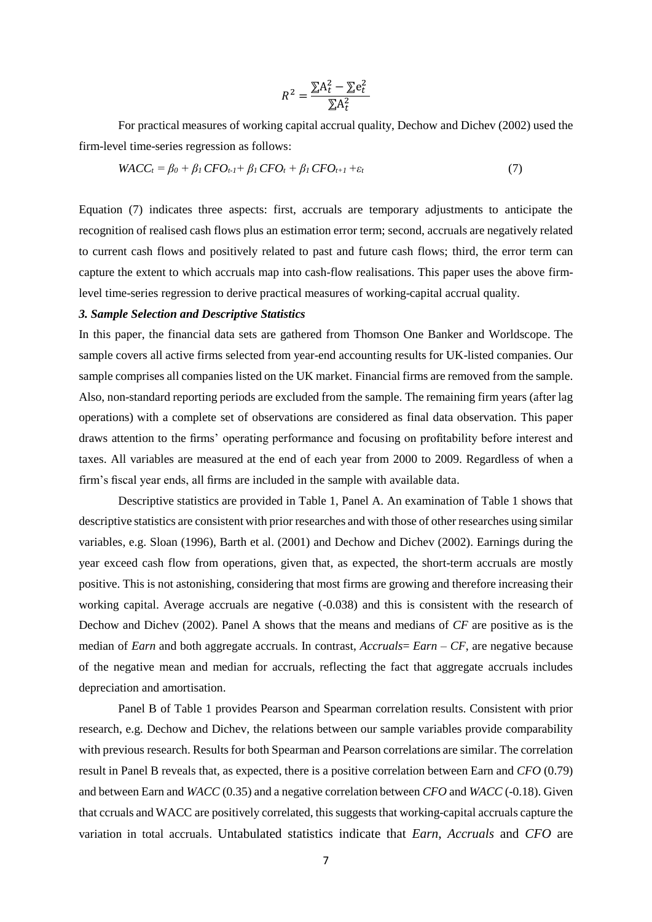$$
R^2 = \frac{\sum A_t^2 - \sum e_t^2}{\sum A_t^2}
$$

For practical measures of working capital accrual quality, Dechow and Dichev (2002) used the firm-level time-series regression as follows:

$$
WACC_t = \beta_0 + \beta_1 CFO_{t-1} + \beta_1 CFO_t + \beta_1 CFO_{t+1} + \varepsilon_t
$$
\n
$$
(7)
$$

Equation (7) indicates three aspects: first, accruals are temporary adjustments to anticipate the recognition of realised cash flows plus an estimation error term; second, accruals are negatively related to current cash flows and positively related to past and future cash flows; third, the error term can capture the extent to which accruals map into cash-flow realisations. This paper uses the above firmlevel time-series regression to derive practical measures of working-capital accrual quality.

## *3. Sample Selection and Descriptive Statistics*

In this paper, the financial data sets are gathered from Thomson One Banker and Worldscope. The sample covers all active firms selected from year-end accounting results for UK-listed companies. Our sample comprises all companies listed on the UK market. Financial firms are removed from the sample. Also, non-standard reporting periods are excluded from the sample. The remaining firm years (after lag operations) with a complete set of observations are considered as final data observation. This paper draws attention to the firms' operating performance and focusing on profitability before interest and taxes. All variables are measured at the end of each year from 2000 to 2009. Regardless of when a firm's fiscal year ends, all firms are included in the sample with available data.

Descriptive statistics are provided in Table 1, Panel A. An examination of Table 1 shows that descriptive statistics are consistent with prior researches and with those of other researches using similar variables, e.g. Sloan (1996), Barth et al. (2001) and Dechow and Dichev (2002). Earnings during the year exceed cash flow from operations, given that, as expected, the short-term accruals are mostly positive. This is not astonishing, considering that most firms are growing and therefore increasing their working capital. Average accruals are negative  $(-0.038)$  and this is consistent with the research of Dechow and Dichev (2002). Panel A shows that the means and medians of *CF* are positive as is the median of *Earn* and both aggregate accruals. In contrast, *Accruals*= *Earn* – *CF*, are negative because of the negative mean and median for accruals, reflecting the fact that aggregate accruals includes depreciation and amortisation.

Panel B of Table 1 provides Pearson and Spearman correlation results. Consistent with prior research, e.g. Dechow and Dichev, the relations between our sample variables provide comparability with previous research. Results for both Spearman and Pearson correlations are similar. The correlation result in Panel B reveals that, as expected, there is a positive correlation between Earn and *CFO* (0.79) and between Earn and *WACC* (0.35) and a negative correlation between *CFO* and *WACC* (-0.18). Given that ccruals and WACC are positively correlated, this suggests that working-capital accruals capture the variation in total accruals. Untabulated statistics indicate that *Earn*, *Accruals* and *CFO* are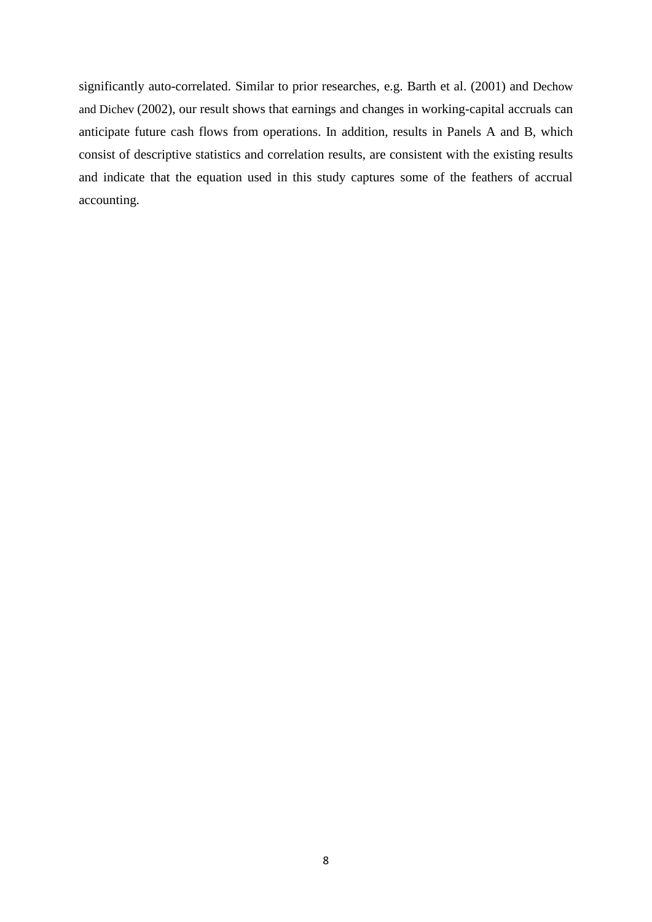significantly auto-correlated. Similar to prior researches, e.g. Barth et al. (2001) and Dechow and Dichev (2002), our result shows that earnings and changes in working-capital accruals can anticipate future cash flows from operations. In addition, results in Panels A and B, which consist of descriptive statistics and correlation results, are consistent with the existing results and indicate that the equation used in this study captures some of the feathers of accrual accounting.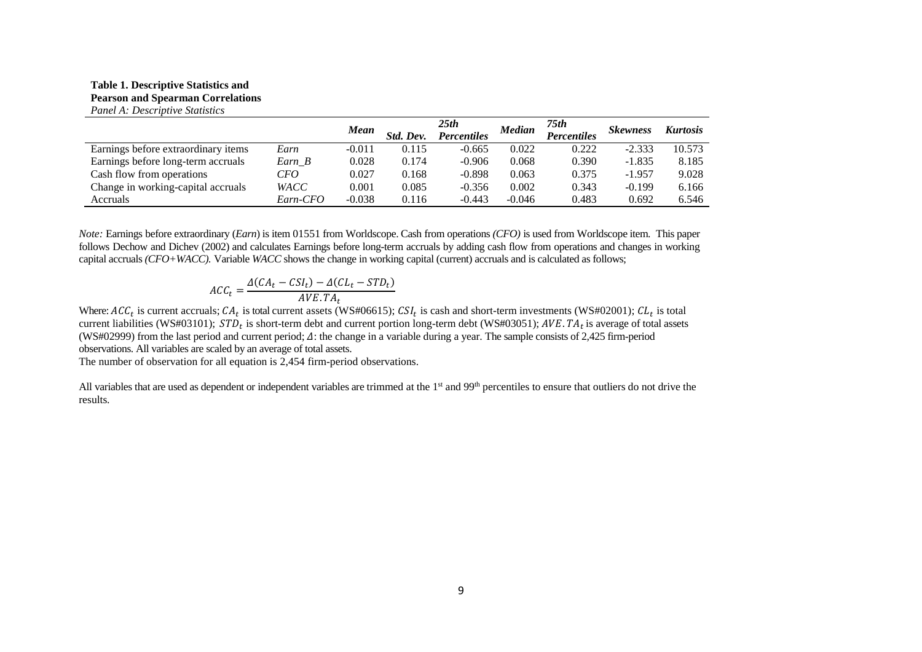#### **Table 1. Descriptive Statistics and Pearson and Spearman Correlations** *Panel A: Descriptive Statistics*

|                                     |             | Mean     | Std. Dev. | 25th<br><b>Percentiles</b> | <b>Median</b> | 75th<br><b>Percentiles</b> | <b>Skewness</b> | <b>Kurtosis</b> |
|-------------------------------------|-------------|----------|-----------|----------------------------|---------------|----------------------------|-----------------|-----------------|
| Earnings before extraordinary items | Earn        | $-0.011$ | 0.115     | $-0.665$                   | 0.022         | 0.222                      | $-2.333$        | 10.573          |
| Earnings before long-term accruals  | $Earn_B$    | 0.028    | 0.174     | $-0.906$                   | 0.068         | 0.390                      | $-1.835$        | 8.185           |
| Cash flow from operations           | CFO         | 0.027    | 0.168     | $-0.898$                   | 0.063         | 0.375                      | $-1.957$        | 9.028           |
| Change in working-capital accruals  | <b>WACC</b> | 0.001    | 0.085     | $-0.356$                   | 0.002         | 0.343                      | $-0.199$        | 6.166           |
| Accruals                            | Earn-CFO    | $-0.038$ | 0.116     | $-0.443$                   | $-0.046$      | 0.483                      | 0.692           | 6.546           |

*Note:* Earnings before extraordinary (*Earn*) is item 01551 from Worldscope. Cash from operations *(CFO)* is used from Worldscope item. This paper follows Dechow and Dichev (2002) and calculates Earnings before long-term accruals by adding cash flow from operations and changes in working capital accruals *(CFO+WACC).* Variable *WACC* shows the change in working capital (current) accruals and is calculated as follows;

$$
ACC_t = \frac{\Delta(CA_t - CSI_t) - \Delta(CL_t - STD_t)}{AVE.TA_t}
$$

Where:  $ACC_t$  is current accruals;  $CA_t$  is total current assets (WS#06615);  $CSI_t$  is cash and short-term investments (WS#02001);  $CL_t$  is total current liabilities (WS#03101);  $STD_t$  is short-term debt and current portion long-term debt (WS#03051);  $AVE.TA_t$  is average of total assets (WS#02999) from the last period and current period;  $\Delta$ : the change in a variable during a year. The sample consists of 2,425 firm-period observations. All variables are scaled by an average of total assets.

The number of observation for all equation is 2,454 firm-period observations.

All variables that are used as dependent or independent variables are trimmed at the 1<sup>st</sup> and 99<sup>th</sup> percentiles to ensure that outliers do not drive the results.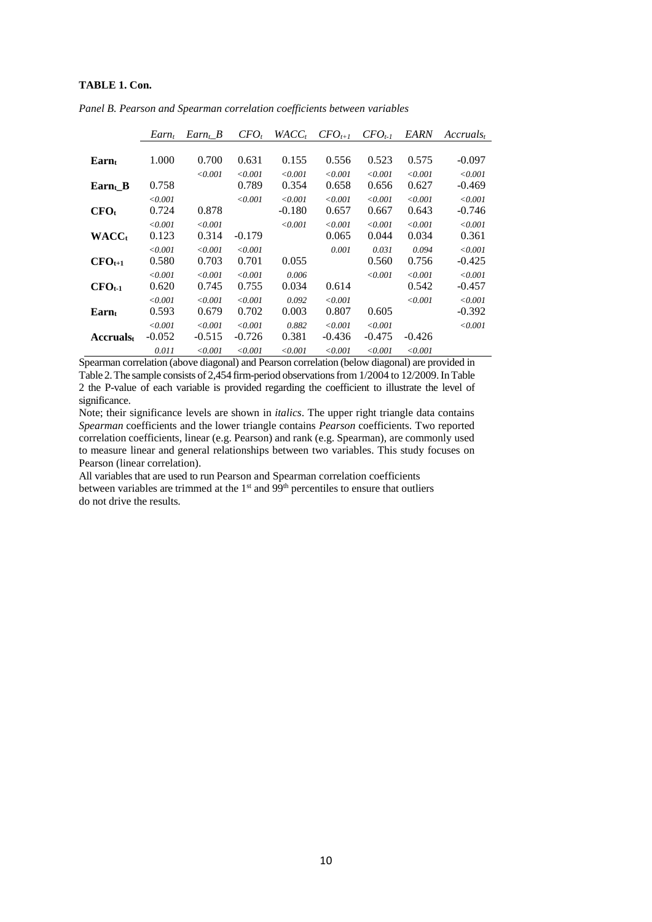## **TABLE 1. Con.**

|                      | $Earn_t$ | $Earn_t$ B  | $CFO_t$     | $WACC_t$       | $CFO_{t+1}$ | $CFO_{t-1}$ | <i>EARN</i> | $Accruals_t$ |
|----------------------|----------|-------------|-------------|----------------|-------------|-------------|-------------|--------------|
|                      |          |             |             |                |             |             |             |              |
| $\rm{Earn_t}$        | 1.000    | 0.700       | 0.631       | 0.155          | 0.556       | 0.523       | 0.575       | $-0.097$     |
|                      |          | < 0.001     | < 0.001     | < 0.001        | < 0.001     | < 0.001     | < 0.001     | $\le 0.001$  |
| $\text{Earn}_{t}$ _B | 0.758    |             | 0.789       | 0.354          | 0.658       | 0.656       | 0.627       | -0.469       |
|                      | < 0.001  |             | < 0.001     | < 0.001        | < 0.001     | $\le 0.001$ | < 0.001     | < 0.001      |
| CFO <sub>t</sub>     | 0.724    | 0.878       |             | $-0.180$       | 0.657       | 0.667       | 0.643       | -0.746       |
|                      | < 0.001  | $\le 0.001$ |             | < 0.001        | < 0.001     | < 0.001     | $\le 0.001$ | < 0.001      |
| <b>WACC</b>          | 0.123    | 0.314       | $-0.179$    |                | 0.065       | 0.044       | 0.034       | 0.361        |
|                      | < 0.001  | $\le 0.001$ | $\le 0.001$ |                | 0.001       | 0.031       | 0.094       | $\le 0.001$  |
| $CFO_{t+1}$          | 0.580    | 0.703       | 0.701       | 0.055          |             | 0.560       | 0.756       | -0.425       |
|                      | < 0.001  | $\le 0.001$ | $\le 0.001$ | 0.006          |             | < 0.001     | $\le 0.001$ | $\le 0.001$  |
| $CFO_{t-1}$          | 0.620    | 0.745       | 0.755       | 0.034          | 0.614       |             | 0.542       | -0.457       |
|                      | < 0.001  | < 0.001     | < 0.001     | 0.092          | < 0.001     |             | < 0.001     | < 0.001      |
| $\rm{Earn}_t$        | 0.593    | 0.679       | 0.702       | 0.003          | 0.807       | 0.605       |             | -0.392       |
|                      | < 0.001  | < 0.001     | < 0.001     | 0.882          | < 0.001     | < 0.001     |             | < 0.001      |
| <b>Accruals</b> t    | $-0.052$ | $-0.515$    | $-0.726$    | 0.381          | $-0.436$    | $-0.475$    | $-0.426$    |              |
|                      | 0.011    | < 0.001     | < 0.001     | $<$ 0.001 $\,$ | < 0.001     | < 0.001     | < 0.001     |              |

*Panel B. Pearson and Spearman correlation coefficients between variables*

Spearman correlation (above diagonal) and Pearson correlation (below diagonal) are provided in Table 2. The sample consists of 2,454 firm-period observationsfrom 1/2004 to 12/2009. In Table 2 the P-value of each variable is provided regarding the coefficient to illustrate the level of significance.

Note; their significance levels are shown in *italics*. The upper right triangle data contains *Spearman* coefficients and the lower triangle contains *Pearson* coefficients. Two reported correlation coefficients, linear (e.g. Pearson) and rank (e.g. Spearman), are commonly used to measure linear and general relationships between two variables. This study focuses on Pearson (linear correlation).

All variables that are used to run Pearson and Spearman correlation coefficients between variables are trimmed at the  $1<sup>st</sup>$  and  $99<sup>th</sup>$  percentiles to ensure that outliers do not drive the results.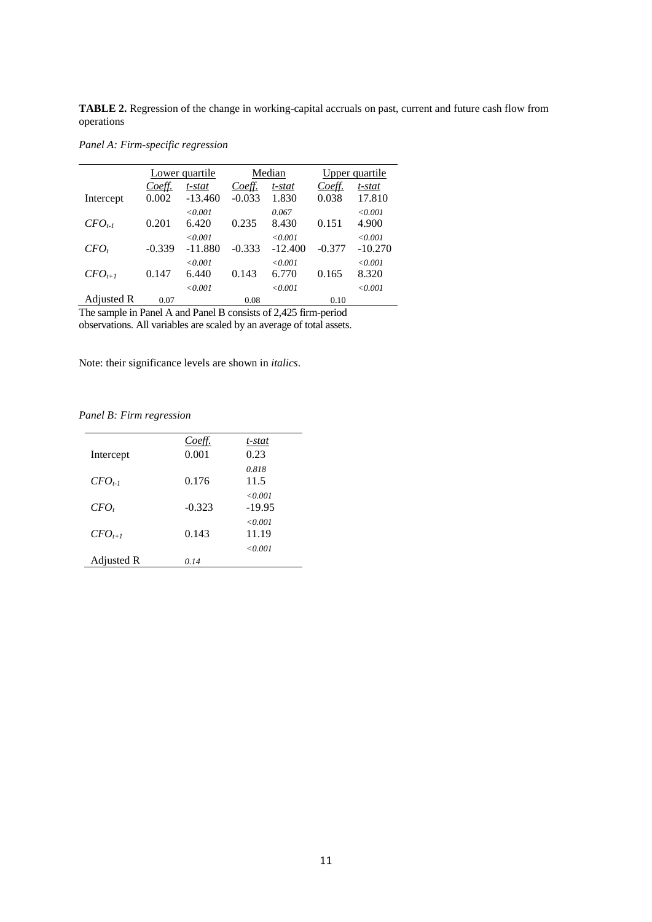**TABLE 2.** Regression of the change in working-capital accruals on past, current and future cash flow from operations

*Panel A: Firm-specific regression*

|                            |              | Lower quartile             |           | Median                  |          | <u>Upper quartile</u> |
|----------------------------|--------------|----------------------------|-----------|-------------------------|----------|-----------------------|
|                            | Coeff.       | t-stat                     | Coeff.    | t-stat                  | Coeff.   | t-stat                |
| Intercept                  | 0.002        | $-13.460$                  | $-0.033$  | 1.830                   | 0.038    | 17.810                |
|                            |              | < 0.001                    |           | 0.067                   |          | < 0.001               |
| $CFO_{t-1}$                | 0.201        | 6.420                      | 0.235     | 8.430                   | 0.151    | 4.900                 |
|                            |              | < 0.001                    |           | < 0.001                 |          | < 0.001               |
| $CFO_t$                    | $-0.339$     | $-11.880$                  | $-0.333$  | $-12.400$               | $-0.377$ | $-10.270$             |
|                            |              | < 0.001                    |           | < 0.001                 |          | < 0.001               |
| $CFO_{t+1}$                | 0.147        | 6.440                      | 0.143     | 6.770                   | 0.165    | 8.320                 |
|                            |              | < 0.001                    |           | < 0.001                 |          | < 0.001               |
| Adjusted R                 | 0.07         |                            | 0.08      |                         | 0.10     |                       |
| m.<br>$\sim$ $\sim$ $\sim$ | $\mathbf{1}$ | $\sqrt{2}$<br>$\mathbf{r}$ | $\cdot$ . | $c \wedge$ $c \wedge c$ | . .      |                       |

The sample in Panel A and Panel B consists of 2,425 firm-period observations. All variables are scaled by an average of total assets.

Note: their significance levels are shown in *italics*.

*Panel B: Firm regression*

|             | Coeff.   | t-stat              |
|-------------|----------|---------------------|
| Intercept   | 0.001    | 0.23                |
| $CFO_{t-1}$ | 0.176    | 0.818<br>11.5       |
| $CFO_t$     | $-0.323$ | < 0.001<br>$-19.95$ |
| $CFO_{t+1}$ | 0.143    | <0.001<br>11.19     |
| Adjusted R  | 0.14     | < 0.001             |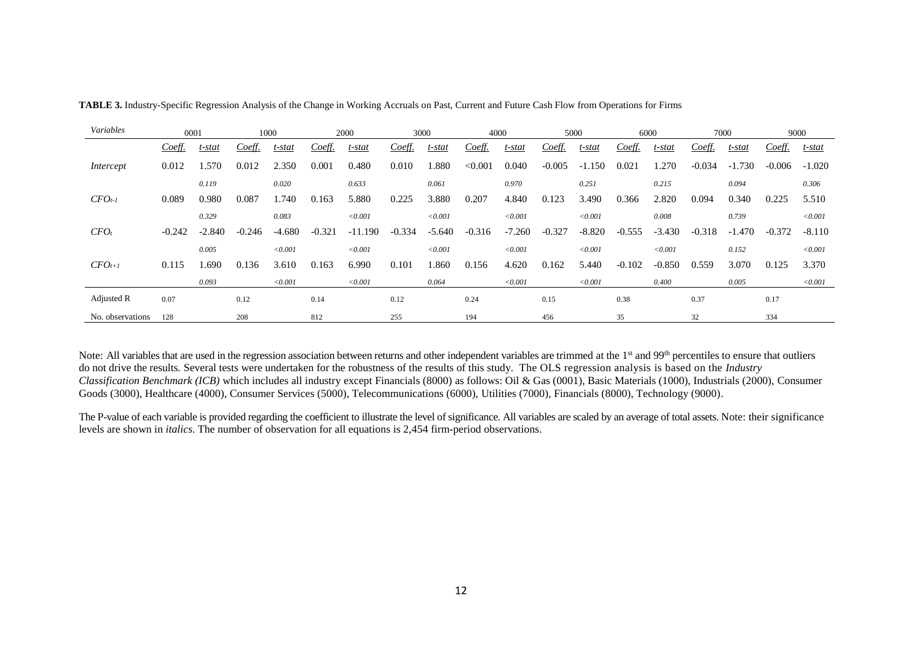| Variables        |          | 0001     |          | 1000     |          | 2000      |          | 3000     | 4000     |          |          | 5000     | 6000     |          |          | 7000     |          | 9000     |
|------------------|----------|----------|----------|----------|----------|-----------|----------|----------|----------|----------|----------|----------|----------|----------|----------|----------|----------|----------|
|                  | Coeff.   | t-stat   | Coeff.   | t-stat   | Coeff.   | t-stat    | Coeff.   | t-stat   | Coeff.   | t-stat   | Coeff.   | t-stat   | Coeff.   | t-stat   | Coeff.   | t-stat   | Coeff.   | t-stat   |
| Intercept        | 0.012    | 1.570    | 0.012    | 2.350    | 0.001    | 0.480     | 0.010    | .880     | < 0.001  | 0.040    | $-0.005$ | $-1.150$ | 0.021    | .270     | $-0.034$ | $-1.730$ | $-0.006$ | $-1.020$ |
|                  |          | 0.119    |          | 0.020    |          | 0.633     |          | 0.061    |          | 0.970    |          | 0.251    |          | 0.215    |          | 0.094    |          | 0.306    |
| $CFO_{t-1}$      | 0.089    | 0.980    | 0.087    | .740     | 0.163    | 5.880     | 0.225    | 3.880    | 0.207    | 4.840    | 0.123    | 3.490    | 0.366    | 2.820    | 0.094    | 0.340    | 0.225    | 5.510    |
|                  |          | 0.329    |          | 0.083    |          | < 0.001   |          | < 0.001  |          | < 0.001  |          | < 0.001  |          | 0.008    |          | 0.739    |          | < 0.001  |
| $CFO_t$          | $-0.242$ | $-2.840$ | $-0.246$ | $-4.680$ | $-0.321$ | $-11.190$ | $-0.334$ | $-5.640$ | $-0.316$ | $-7.260$ | $-0.327$ | $-8.820$ | $-0.555$ | $-3.430$ | $-0.318$ | $-1.470$ | $-0.372$ | $-8.110$ |
|                  |          | 0.005    |          | < 0.001  |          | < 0.001   |          | < 0.001  |          | < 0.001  |          | < 0.001  |          | < 0.001  |          | 0.152    |          | < 0.001  |
| $CFO_{t+1}$      | 0.115    | .690     | 0.136    | 3.610    | 0.163    | 6.990     | 0.101    | .860     | 0.156    | 4.620    | 0.162    | 5.440    | $-0.102$ | $-0.850$ | 0.559    | 3.070    | 0.125    | 3.370    |
|                  |          | 0.093    |          | < 0.001  |          | < 0.001   |          | 0.064    |          | < 0.001  |          | < 0.001  |          | 0.400    |          | 0.005    |          | < 0.001  |
| Adjusted R       | 0.07     |          | 0.12     |          | 0.14     |           | 0.12     |          | 0.24     |          | 0.15     |          | 0.38     |          | 0.37     |          | 0.17     |          |
| No. observations | 128      |          | 208      |          | 812      |           | 255      |          | 194      |          | 456      |          | 35       |          | 32       |          | 334      |          |

**TABLE 3.** Industry-Specific Regression Analysis of the Change in Working Accruals on Past, Current and Future Cash Flow from Operations for Firms

Note: All variables that are used in the regression association between returns and other independent variables are trimmed at the  $1<sup>st</sup>$  and  $99<sup>th</sup>$  percentiles to ensure that outliers do not drive the results. Several tests were undertaken for the robustness of the results of this study. The OLS regression analysis is based on the *Industry Classification Benchmark (ICB)* which includes all industry except Financials (8000) as follows: Oil & Gas (0001), Basic Materials (1000), Industrials (2000), Consumer Goods (3000), Healthcare (4000), Consumer Services (5000), Telecommunications (6000), Utilities (7000), Financials (8000), Technology (9000).

The P-value of each variable is provided regarding the coefficient to illustrate the level of significance. All variables are scaled by an average of total assets. Note: their significance levels are shown in *italics*. The number of observation for all equations is 2,454 firm-period observations.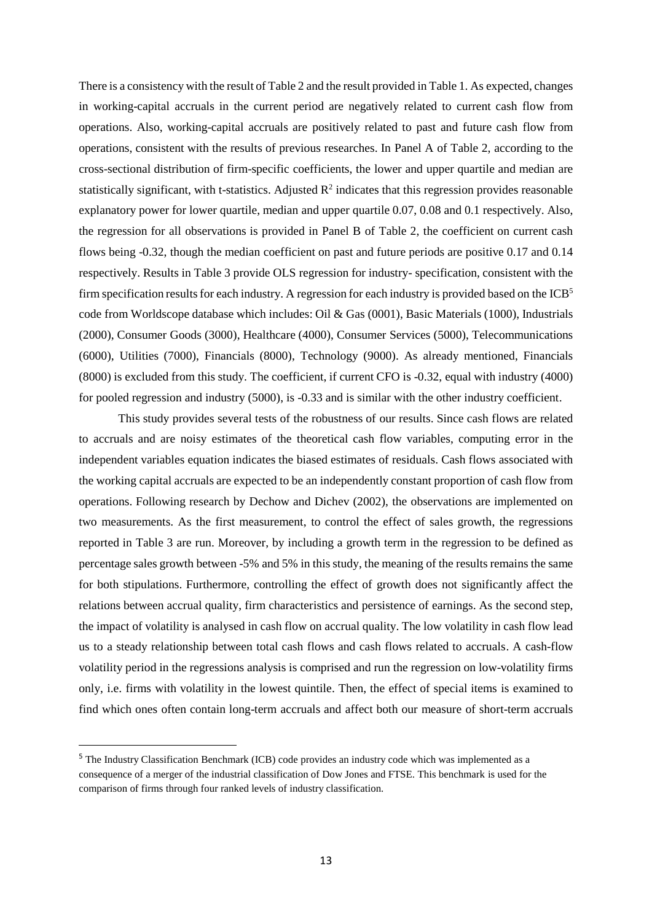There is a consistency with the result of Table 2 and the result provided in Table 1. As expected, changes in working-capital accruals in the current period are negatively related to current cash flow from operations. Also, working-capital accruals are positively related to past and future cash flow from operations, consistent with the results of previous researches. In Panel A of Table 2, according to the cross-sectional distribution of firm-specific coefficients, the lower and upper quartile and median are statistically significant, with t-statistics. Adjusted  $\mathbb{R}^2$  indicates that this regression provides reasonable explanatory power for lower quartile, median and upper quartile 0.07, 0.08 and 0.1 respectively. Also, the regression for all observations is provided in Panel B of Table 2, the coefficient on current cash flows being -0.32, though the median coefficient on past and future periods are positive 0.17 and 0.14 respectively. Results in Table 3 provide OLS regression for industry- specification, consistent with the firm specification results for each industry. A regression for each industry is provided based on the  $ICB<sup>5</sup>$ code from Worldscope database which includes: Oil & Gas (0001), Basic Materials (1000), Industrials (2000), Consumer Goods (3000), Healthcare (4000), Consumer Services (5000), Telecommunications (6000), Utilities (7000), Financials (8000), Technology (9000). As already mentioned, Financials (8000) is excluded from this study. The coefficient, if current CFO is -0.32, equal with industry (4000) for pooled regression and industry (5000), is -0.33 and is similar with the other industry coefficient.

This study provides several tests of the robustness of our results. Since cash flows are related to accruals and are noisy estimates of the theoretical cash flow variables, computing error in the independent variables equation indicates the biased estimates of residuals. Cash flows associated with the working capital accruals are expected to be an independently constant proportion of cash flow from operations. Following research by Dechow and Dichev (2002), the observations are implemented on two measurements. As the first measurement, to control the effect of sales growth, the regressions reported in Table 3 are run. Moreover, by including a growth term in the regression to be defined as percentage sales growth between -5% and 5% in this study, the meaning of the results remains the same for both stipulations. Furthermore, controlling the effect of growth does not significantly affect the relations between accrual quality, firm characteristics and persistence of earnings. As the second step, the impact of volatility is analysed in cash flow on accrual quality. The low volatility in cash flow lead us to a steady relationship between total cash flows and cash flows related to accruals. A cash-flow volatility period in the regressions analysis is comprised and run the regression on low-volatility firms only, i.e. firms with volatility in the lowest quintile. Then, the effect of special items is examined to find which ones often contain long-term accruals and affect both our measure of short-term accruals

**.** 

<sup>5</sup> The Industry Classification Benchmark (ICB) code provides an industry code which was implemented as a consequence of a merger of the industrial classification of Dow Jones and FTSE. This benchmark is used for the comparison of firms through four ranked levels of industry classification.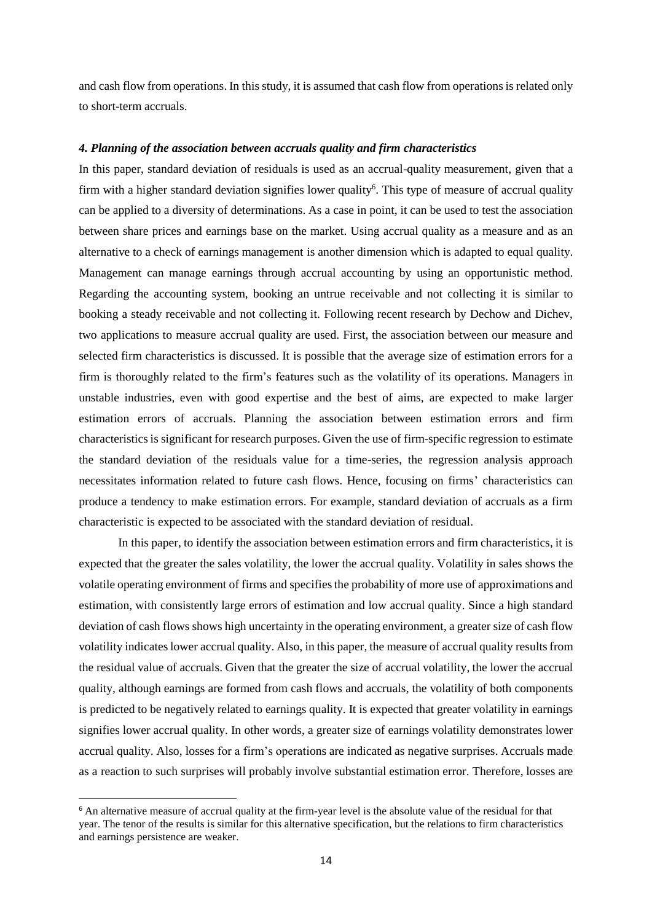and cash flow from operations. In this study, it is assumed that cash flow from operations is related only to short-term accruals.

#### *4. Planning of the association between accruals quality and firm characteristics*

In this paper, standard deviation of residuals is used as an accrual-quality measurement, given that a firm with a higher standard deviation signifies lower quality<sup>6</sup>. This type of measure of accrual quality can be applied to a diversity of determinations. As a case in point, it can be used to test the association between share prices and earnings base on the market. Using accrual quality as a measure and as an alternative to a check of earnings management is another dimension which is adapted to equal quality. Management can manage earnings through accrual accounting by using an opportunistic method. Regarding the accounting system, booking an untrue receivable and not collecting it is similar to booking a steady receivable and not collecting it. Following recent research by Dechow and Dichev, two applications to measure accrual quality are used. First, the association between our measure and selected firm characteristics is discussed. It is possible that the average size of estimation errors for a firm is thoroughly related to the firm's features such as the volatility of its operations. Managers in unstable industries, even with good expertise and the best of aims, are expected to make larger estimation errors of accruals. Planning the association between estimation errors and firm characteristics is significant for research purposes. Given the use of firm-specific regression to estimate the standard deviation of the residuals value for a time-series, the regression analysis approach necessitates information related to future cash flows. Hence, focusing on firms' characteristics can produce a tendency to make estimation errors. For example, standard deviation of accruals as a firm characteristic is expected to be associated with the standard deviation of residual.

In this paper, to identify the association between estimation errors and firm characteristics, it is expected that the greater the sales volatility, the lower the accrual quality. Volatility in sales shows the volatile operating environment of firms and specifies the probability of more use of approximations and estimation, with consistently large errors of estimation and low accrual quality. Since a high standard deviation of cash flows shows high uncertainty in the operating environment, a greater size of cash flow volatility indicateslower accrual quality. Also, in this paper, the measure of accrual quality results from the residual value of accruals. Given that the greater the size of accrual volatility, the lower the accrual quality, although earnings are formed from cash flows and accruals, the volatility of both components is predicted to be negatively related to earnings quality. It is expected that greater volatility in earnings signifies lower accrual quality. In other words, a greater size of earnings volatility demonstrates lower accrual quality. Also, losses for a firm's operations are indicated as negative surprises. Accruals made as a reaction to such surprises will probably involve substantial estimation error. Therefore, losses are

**.** 

<sup>&</sup>lt;sup>6</sup> An alternative measure of accrual quality at the firm-year level is the absolute value of the residual for that year. The tenor of the results is similar for this alternative specification, but the relations to firm characteristics and earnings persistence are weaker.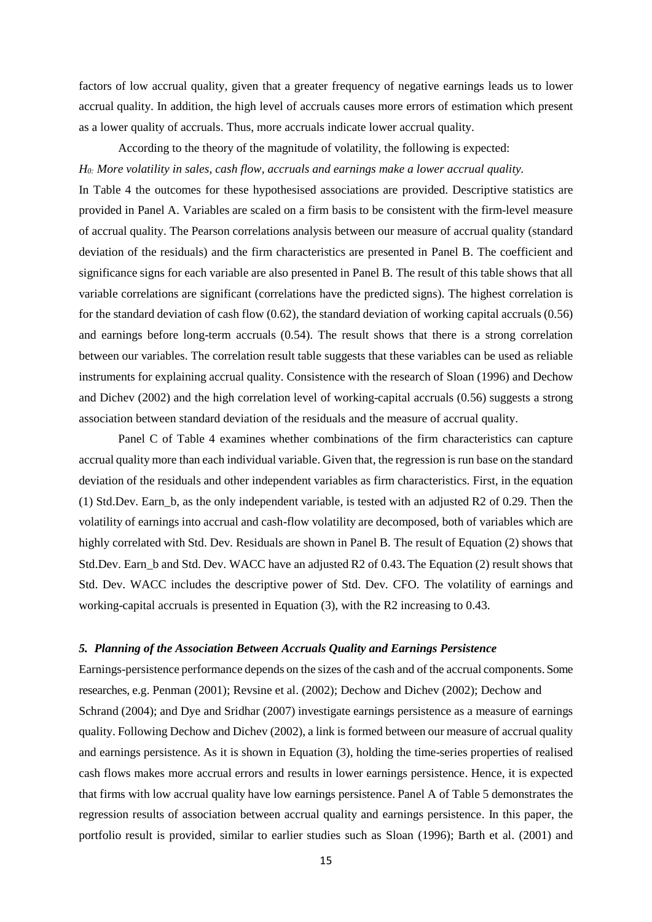factors of low accrual quality, given that a greater frequency of negative earnings leads us to lower accrual quality. In addition, the high level of accruals causes more errors of estimation which present as a lower quality of accruals. Thus, more accruals indicate lower accrual quality.

According to the theory of the magnitude of volatility, the following is expected:

*H0: More volatility in sales, cash flow, accruals and earnings make a lower accrual quality.*

In Table 4 the outcomes for these hypothesised associations are provided. Descriptive statistics are provided in Panel A. Variables are scaled on a firm basis to be consistent with the firm-level measure of accrual quality. The Pearson correlations analysis between our measure of accrual quality (standard deviation of the residuals) and the firm characteristics are presented in Panel B. The coefficient and significance signs for each variable are also presented in Panel B. The result of this table shows that all variable correlations are significant (correlations have the predicted signs). The highest correlation is for the standard deviation of cash flow (0.62), the standard deviation of working capital accruals (0.56) and earnings before long-term accruals (0.54). The result shows that there is a strong correlation between our variables. The correlation result table suggests that these variables can be used as reliable instruments for explaining accrual quality. Consistence with the research of Sloan (1996) and Dechow and Dichev (2002) and the high correlation level of working-capital accruals (0.56) suggests a strong association between standard deviation of the residuals and the measure of accrual quality.

Panel C of Table 4 examines whether combinations of the firm characteristics can capture accrual quality more than each individual variable. Given that, the regression is run base on the standard deviation of the residuals and other independent variables as firm characteristics. First, in the equation (1) Std.Dev. Earn\_b, as the only independent variable, is tested with an adjusted R2 of 0.29. Then the volatility of earnings into accrual and cash-flow volatility are decomposed, both of variables which are highly correlated with Std. Dev. Residuals are shown in Panel B. The result of Equation (2) shows that Std.Dev. Earn\_b and Std. Dev. WACC have an adjusted R2 of 0.43**.** The Equation (2) result shows that Std. Dev. WACC includes the descriptive power of Std. Dev. CFO. The volatility of earnings and working-capital accruals is presented in Equation (3), with the R2 increasing to 0.43.

## *5. Planning of the Association Between Accruals Quality and Earnings Persistence*

Earnings-persistence performance depends on the sizes of the cash and of the accrual components. Some researches, e.g. Penman (2001); Revsine et al. (2002); Dechow and Dichev (2002); Dechow and Schrand (2004); and Dye and Sridhar (2007) investigate earnings persistence as a measure of earnings quality. Following Dechow and Dichev (2002), a link is formed between our measure of accrual quality and earnings persistence. As it is shown in Equation (3), holding the time-series properties of realised cash flows makes more accrual errors and results in lower earnings persistence. Hence, it is expected that firms with low accrual quality have low earnings persistence. Panel A of Table 5 demonstrates the regression results of association between accrual quality and earnings persistence. In this paper, the portfolio result is provided, similar to earlier studies such as Sloan (1996); Barth et al. (2001) and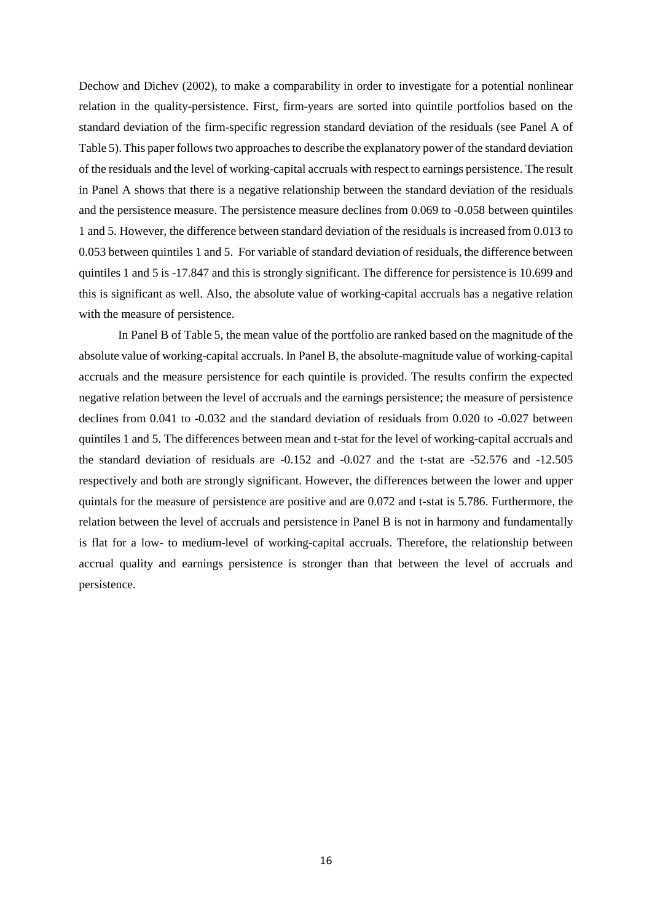Dechow and Dichev (2002), to make a comparability in order to investigate for a potential nonlinear relation in the quality-persistence. First, firm-years are sorted into quintile portfolios based on the standard deviation of the firm-specific regression standard deviation of the residuals (see Panel A of Table 5).This paper follows two approaches to describe the explanatory power of the standard deviation of the residuals and the level of working-capital accruals with respect to earnings persistence. The result in Panel A shows that there is a negative relationship between the standard deviation of the residuals and the persistence measure. The persistence measure declines from 0.069 to -0.058 between quintiles 1 and 5. However, the difference between standard deviation of the residuals is increased from 0.013 to 0.053 between quintiles 1 and 5. For variable of standard deviation of residuals, the difference between quintiles 1 and 5 is -17.847 and this is strongly significant. The difference for persistence is 10.699 and this is significant as well. Also, the absolute value of working-capital accruals has a negative relation with the measure of persistence.

In Panel B of Table 5, the mean value of the portfolio are ranked based on the magnitude of the absolute value of working-capital accruals. In Panel B, the absolute-magnitude value of working-capital accruals and the measure persistence for each quintile is provided. The results confirm the expected negative relation between the level of accruals and the earnings persistence; the measure of persistence declines from 0.041 to -0.032 and the standard deviation of residuals from 0.020 to -0.027 between quintiles 1 and 5. The differences between mean and t-stat for the level of working-capital accruals and the standard deviation of residuals are -0.152 and -0.027 and the t-stat are -52.576 and -12.505 respectively and both are strongly significant. However, the differences between the lower and upper quintals for the measure of persistence are positive and are 0.072 and t-stat is 5.786. Furthermore, the relation between the level of accruals and persistence in Panel B is not in harmony and fundamentally is flat for a low- to medium-level of working-capital accruals. Therefore, the relationship between accrual quality and earnings persistence is stronger than that between the level of accruals and persistence.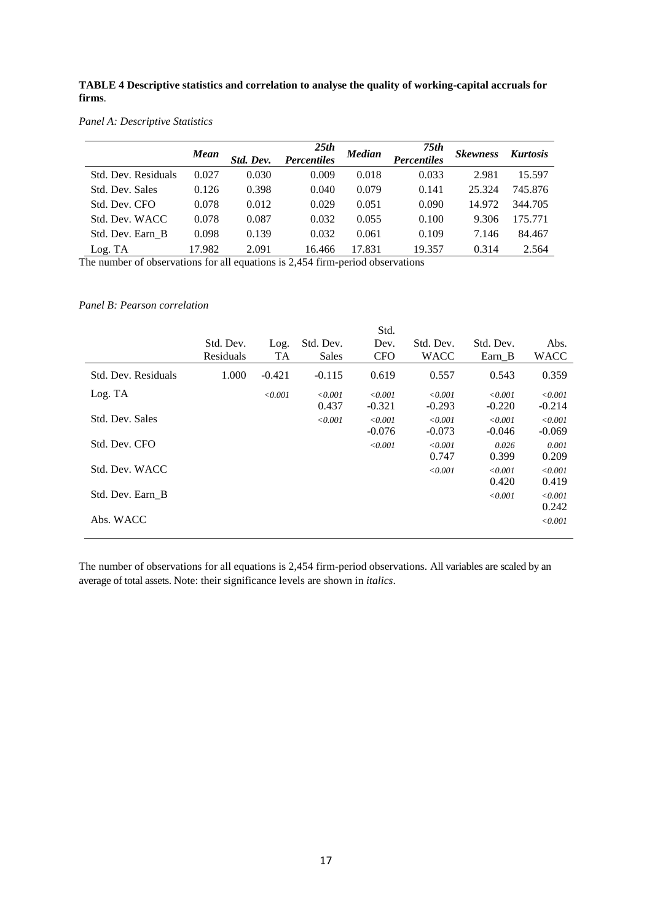**TABLE 4 Descriptive statistics and correlation to analyse the quality of working-capital accruals for firms**.

*Panel A: Descriptive Statistics*

|                     | Mean   | Std. Dev. | 25th<br><b>Percentiles</b> | <b>Median</b> | 75th<br><b>Percentiles</b> | <b>Skewness</b> | <b>Kurtosis</b> |
|---------------------|--------|-----------|----------------------------|---------------|----------------------------|-----------------|-----------------|
| Std. Dev. Residuals | 0.027  | 0.030     | 0.009                      | 0.018         | 0.033                      | 2.981           | 15.597          |
| Std. Dev. Sales     | 0.126  | 0.398     | 0.040                      | 0.079         | 0.141                      | 25.324          | 745.876         |
| Std. Dev. CFO       | 0.078  | 0.012     | 0.029                      | 0.051         | 0.090                      | 14.972          | 344.705         |
| Std. Dev. WACC      | 0.078  | 0.087     | 0.032                      | 0.055         | 0.100                      | 9.306           | 175.771         |
| Std. Dev. Earn B    | 0.098  | 0.139     | 0.032                      | 0.061         | 0.109                      | 7.146           | 84.467          |
| Log. TA             | 17.982 | 2.091     | 16.466                     | 17.831        | 19.357                     | 0.314           | 2.564           |

The number of observations for all equations is 2,454 firm-period observations

## *Panel B: Pearson correlation*

|                     |           |          |           | Std.       |             |           |             |
|---------------------|-----------|----------|-----------|------------|-------------|-----------|-------------|
|                     | Std. Dev. | Log.     | Std. Dev. | Dev.       | Std. Dev.   | Std. Dev. | Abs.        |
|                     | Residuals | TA       | Sales     | <b>CFO</b> | <b>WACC</b> | Earn B    | <b>WACC</b> |
| Std. Dev. Residuals | 1.000     | $-0.421$ | $-0.115$  | 0.619      | 0.557       | 0.543     | 0.359       |
| Log. TA             |           | < 0.001  | < 0.001   | < 0.001    | < 0.001     | < 0.001   | < 0.001     |
|                     |           |          | 0.437     | $-0.321$   | $-0.293$    | $-0.220$  | $-0.214$    |
| Std. Dev. Sales     |           |          | < 0.001   | < 0.001    | < 0.001     | < 0.001   | < 0.001     |
|                     |           |          |           | $-0.076$   | $-0.073$    | $-0.046$  | $-0.069$    |
| Std. Dev. CFO       |           |          |           | < 0.001    | < 0.001     | 0.026     | 0.001       |
|                     |           |          |           |            | 0.747       | 0.399     | 0.209       |
| Std. Dev. WACC      |           |          |           |            | < 0.001     | < 0.001   | < 0.001     |
|                     |           |          |           |            |             | 0.420     | 0.419       |
| Std. Dev. Earn B    |           |          |           |            |             | < 0.001   | < 0.001     |
|                     |           |          |           |            |             |           | 0.242       |
| Abs. WACC           |           |          |           |            |             |           | < 0.001     |

The number of observations for all equations is 2,454 firm-period observations. All variables are scaled by an average of total assets. Note: their significance levels are shown in *italics*.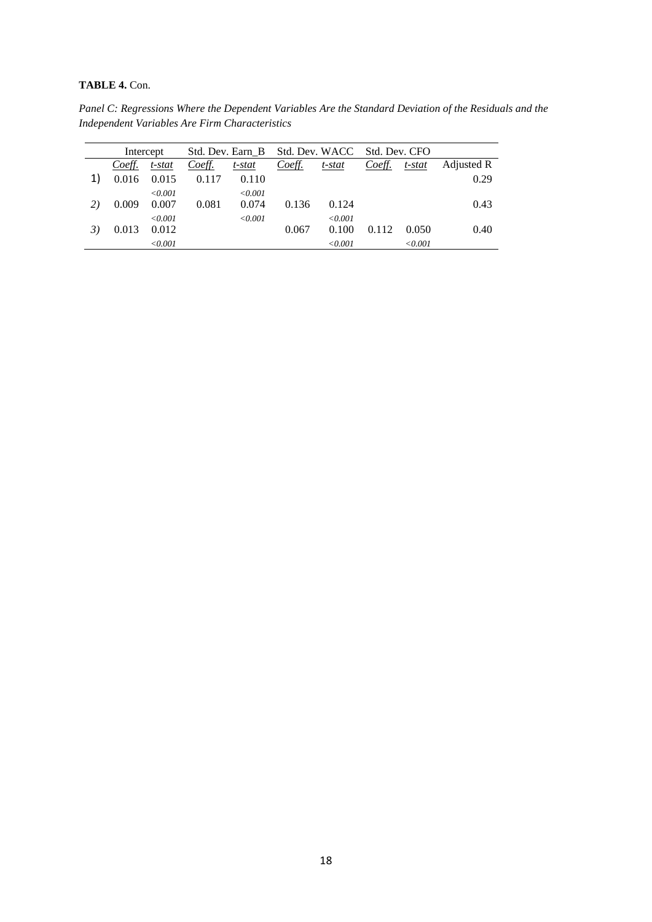## **TABLE 4.** Con.

*Panel C: Regressions Where the Dependent Variables Are the Standard Deviation of the Residuals and the Independent Variables Are Firm Characteristics*

|        | Std. Dev. Earn B<br>Intercept |        |         |        | Std. Dev. WACC | Std. Dev. CFO |         |            |
|--------|-------------------------------|--------|---------|--------|----------------|---------------|---------|------------|
| Coeff. | t-stat                        | Coeff. | t-stat  | Coeff. | t-stat         | Coeff.        | t-stat  | Adjusted R |
| 0.016  | 0.015                         | 0.117  | 0.110   |        |                |               |         | 0.29       |
|        | < 0.001                       |        | < 0.001 |        |                |               |         |            |
| 0.009  | 0.007                         | 0.081  | 0.074   | 0.136  | 0.124          |               |         | 0.43       |
|        | < 0.001                       |        | < 0.001 |        | < 0.001        |               |         |            |
| 0.013  | 0.012                         |        |         | 0.067  | 0.100          | 0.112         | 0.050   | 0.40       |
|        | < 0.001                       |        |         |        | < 0.001        |               | < 0.001 |            |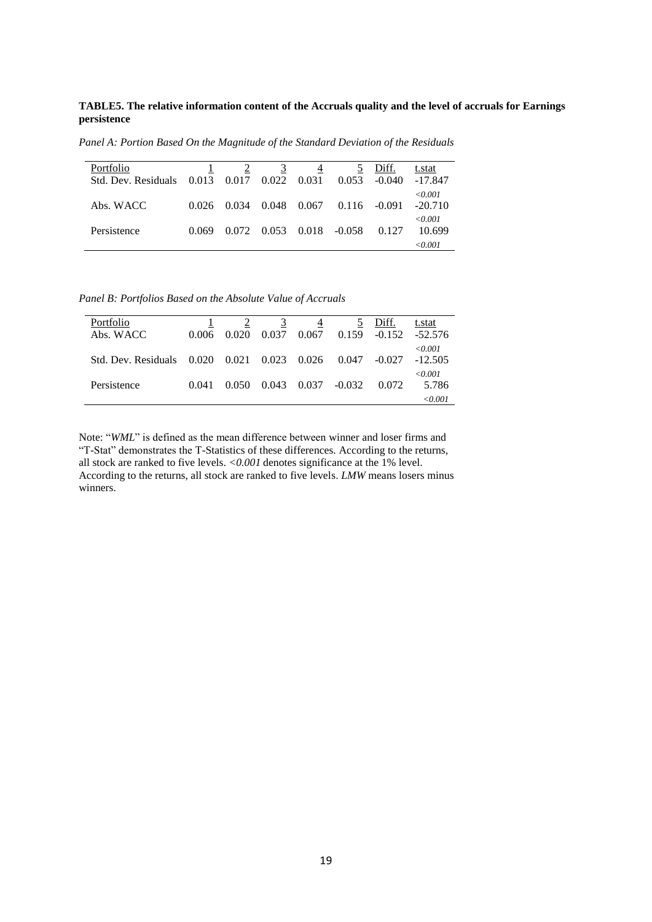**TABLE5. The relative information content of the Accruals quality and the level of accruals for Earnings persistence** 

*Panel A: Portion Based On the Magnitude of the Standard Deviation of the Residuals*

| Portfolio<br>Std. Dev. Residuals | 0.013 | 0.017 | 3<br>$0.022 \quad 0.031$ | 4     | 0.053    | Diff.<br>$-0.040$ | t.stat<br>-17.847    |
|----------------------------------|-------|-------|--------------------------|-------|----------|-------------------|----------------------|
| Abs. WACC                        | 0.026 | 0.034 | 0.048                    | 0.067 | 0.116    | -0.091            | < 0.001<br>$-20.710$ |
| Persistence                      | 0.069 | 0.072 | 0.053                    | 0.018 | $-0.058$ | 0.127             | < 0.001<br>10.699    |
|                                  |       |       |                          |       |          |                   | < 0.001              |

*Panel B: Portfolios Based on the Absolute Value of Accruals*

| Portfolio<br>Abs. WACC | 0.006 | 0.020                   | 3<br>0.037 | 0.067 | 0.159    | Diff.<br>$-0.152$ | t.stat<br>-52.576    |
|------------------------|-------|-------------------------|------------|-------|----------|-------------------|----------------------|
| Std. Dev. Residuals    | 0.020 | $0.021$ $0.023$ $0.026$ |            |       | 0.047    | $-0.027$          | < 0.001<br>$-12.505$ |
| Persistence            | 0.041 | 0.050                   | 0.043      | 0.037 | $-0.032$ | 0.072             | < 0.001<br>5.786     |
|                        |       |                         |            |       |          |                   | < 0.001              |

Note: "*WML*" is defined as the mean difference between winner and loser firms and "T-Stat" demonstrates the T-Statistics of these differences. According to the returns, all stock are ranked to five levels. *<0.001* denotes significance at the 1% level. According to the returns, all stock are ranked to five levels. *LMW* means losers minus winners.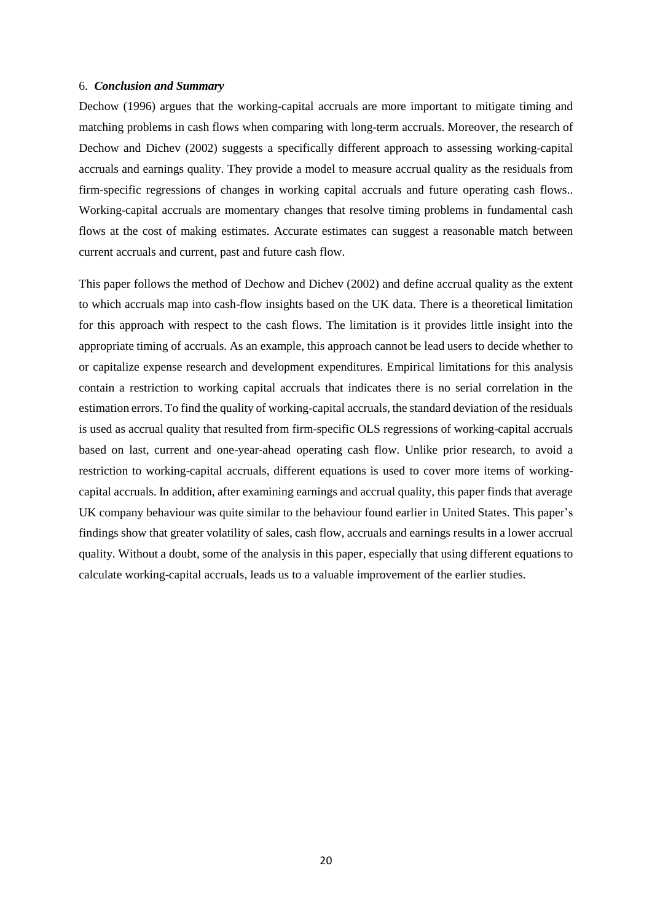#### 6. *Conclusion and Summary*

Dechow (1996) argues that the working-capital accruals are more important to mitigate timing and matching problems in cash flows when comparing with long-term accruals. Moreover, the research of Dechow and Dichev (2002) suggests a specifically different approach to assessing working-capital accruals and earnings quality. They provide a model to measure accrual quality as the residuals from firm-specific regressions of changes in working capital accruals and future operating cash flows.. Working-capital accruals are momentary changes that resolve timing problems in fundamental cash flows at the cost of making estimates. Accurate estimates can suggest a reasonable match between current accruals and current, past and future cash flow.

This paper follows the method of Dechow and Dichev (2002) and define accrual quality as the extent to which accruals map into cash-flow insights based on the UK data. There is a theoretical limitation for this approach with respect to the cash flows. The limitation is it provides little insight into the appropriate timing of accruals. As an example, this approach cannot be lead users to decide whether to or capitalize expense research and development expenditures. Empirical limitations for this analysis contain a restriction to working capital accruals that indicates there is no serial correlation in the estimation errors. To find the quality of working-capital accruals, the standard deviation of the residuals is used as accrual quality that resulted from firm-specific OLS regressions of working-capital accruals based on last, current and one-year-ahead operating cash flow. Unlike prior research, to avoid a restriction to working-capital accruals, different equations is used to cover more items of workingcapital accruals. In addition, after examining earnings and accrual quality, this paper finds that average UK company behaviour was quite similar to the behaviour found earlier in United States. This paper's findings show that greater volatility of sales, cash flow, accruals and earnings results in a lower accrual quality*.* Without a doubt, some of the analysis in this paper, especially that using different equations to calculate working-capital accruals, leads us to a valuable improvement of the earlier studies.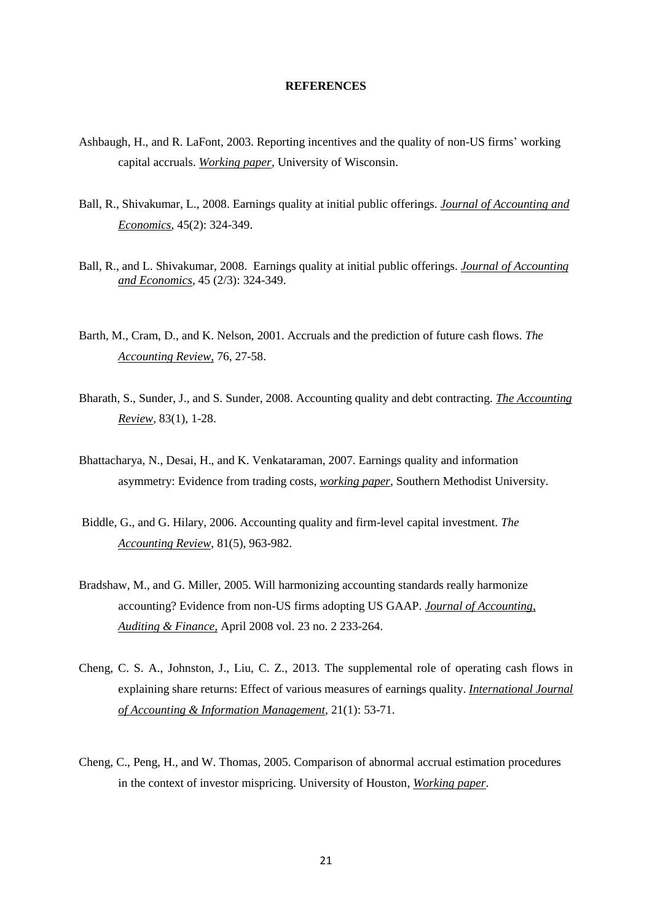#### **REFERENCES**

- Ashbaugh, H., and R. LaFont, 2003. Reporting incentives and the quality of non-US firms' working capital accruals. *Working paper*, University of Wisconsin.
- Ball, R., Shivakumar, L., 2008. Earnings quality at initial public offerings. *Journal of Accounting and Economics*, 45(2): 324-349.
- Ball, R., and L. Shivakumar, 2008. Earnings quality at initial public offerings. *Journal of Accounting and Economics*, 45 (2/3): 324-349.
- Barth, M., Cram, D., and K. Nelson, 2001. Accruals and the prediction of future cash flows. *The Accounting Review,* 76, 27-58.
- Bharath, S., Sunder, J., and S. Sunder, 2008. Accounting quality and debt contracting. *The Accounting Review,* 83(1), 1-28.
- Bhattacharya, N., Desai, H., and K. Venkataraman, 2007. Earnings quality and information asymmetry: Evidence from trading costs, *working paper*, Southern Methodist University.
- Biddle, G., and G. Hilary, 2006. Accounting quality and firm-level capital investment. *The Accounting Review*, 81(5), 963-982.
- Bradshaw, M., and G. Miller, 2005. Will harmonizing accounting standards really harmonize accounting? Evidence from non-US firms adopting US GAAP. *Journal of Accounting, Auditing & Finance,* April 2008 vol. 23 no. 2 233-264.
- Cheng, C. S. A., Johnston, J., Liu, C. Z., 2013. The supplemental role of operating cash flows in explaining share returns: Effect of various measures of earnings quality. *International Journal of Accounting & Information Management*, 21(1): 53-71.
- Cheng, C., Peng, H., and W. Thomas, 2005. Comparison of abnormal accrual estimation procedures in the context of investor mispricing. University of Houston, *Working paper*.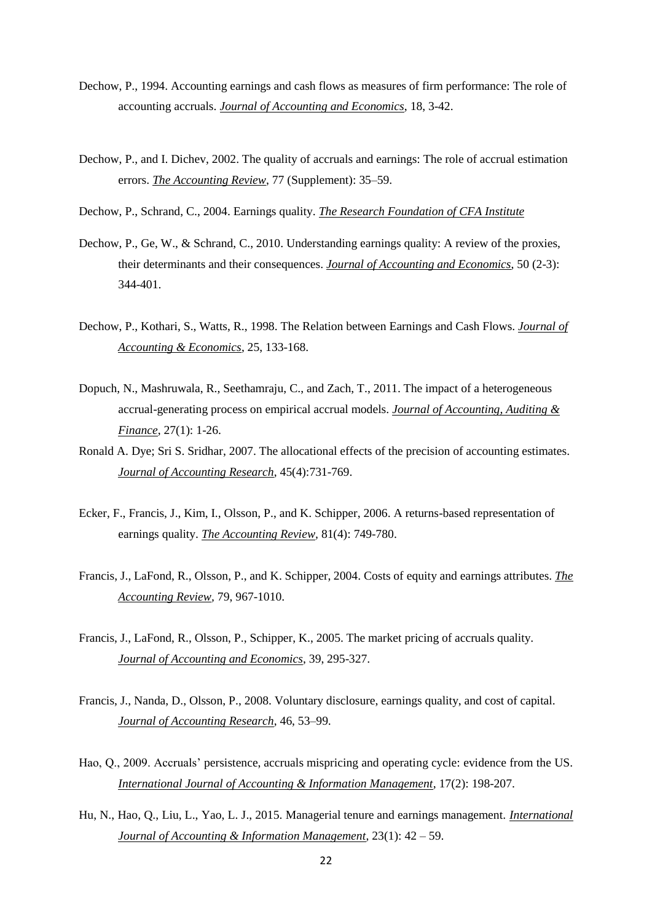- Dechow, P., 1994. Accounting earnings and cash flows as measures of firm performance: The role of accounting accruals. *Journal of Accounting and Economics*, 18, 3-42.
- Dechow, P., and I. Dichev, 2002. The quality of accruals and earnings: The role of accrual estimation errors. *The Accounting Review*, 77 (Supplement): 35–59.
- Dechow, P., Schrand, C., 2004. Earnings quality. *The Research Foundation of CFA Institute*
- Dechow, P., Ge, W., & Schrand, C., 2010. Understanding earnings quality: A review of the proxies, their determinants and their consequences. *Journal of Accounting and Economics*, 50 (2-3): 344-401.
- Dechow, P., Kothari, S., Watts, R., 1998. The Relation between Earnings and Cash Flows. *[Journal of](http://www.elsevier.com/homepage/sae/econworld/econbase/jae/frame.htm)  [Accounting & Economics](http://www.elsevier.com/homepage/sae/econworld/econbase/jae/frame.htm)*, 25, 133-168.
- Dopuch, N., Mashruwala, R., Seethamraju, C., and Zach, T., 2011. The impact of a heterogeneous accrual-generating process on empirical accrual models. *Journal of Accounting, Auditing & Finance*, 27(1): 1-26.
- Ronald A. Dye; Sri S. Sridhar, 2007[. The allocational effects of the precision of accounting estimates.](http://www.scholars.northwestern.edu/pubDetail.asp?t=pm&id=34547203973&n=Ronald+Dye&u_id=591&oe_id=1&o_id=) *Journal of Accounting Research*, 45(4):731-769.
- Ecker, F., Francis, J., Kim, I., Olsson, P., and K. Schipper, 2006. A returns-based representation of earnings quality. *The Accounting Review,* 81(4): 749-780.
- Francis, J., LaFond, R., Olsson, P., and K. Schipper, 2004. Costs of equity and earnings attributes. *The Accounting Review,* 79, 967-1010.
- Francis, J., LaFond, R., Olsson, P., Schipper, K., 2005. The market pricing of accruals quality. *Journal of Accounting and Economics*, 39, 295-327.
- Francis, J., Nanda, D., Olsson, P., 2008. Voluntary disclosure, earnings quality, and cost of capital. *Journal of Accounting Research*, 46, 53–99.
- Hao, Q., 2009. Accruals' persistence, accruals mispricing and operating cycle: evidence from the US. *International Journal of Accounting & Information Management*, 17(2): 198-207.
- Hu, N., Hao, Q., Liu, L., Yao, L. J., 2015. Managerial tenure and earnings management. *International Journal of Accounting & Information Management*, 23(1): 42 – 59.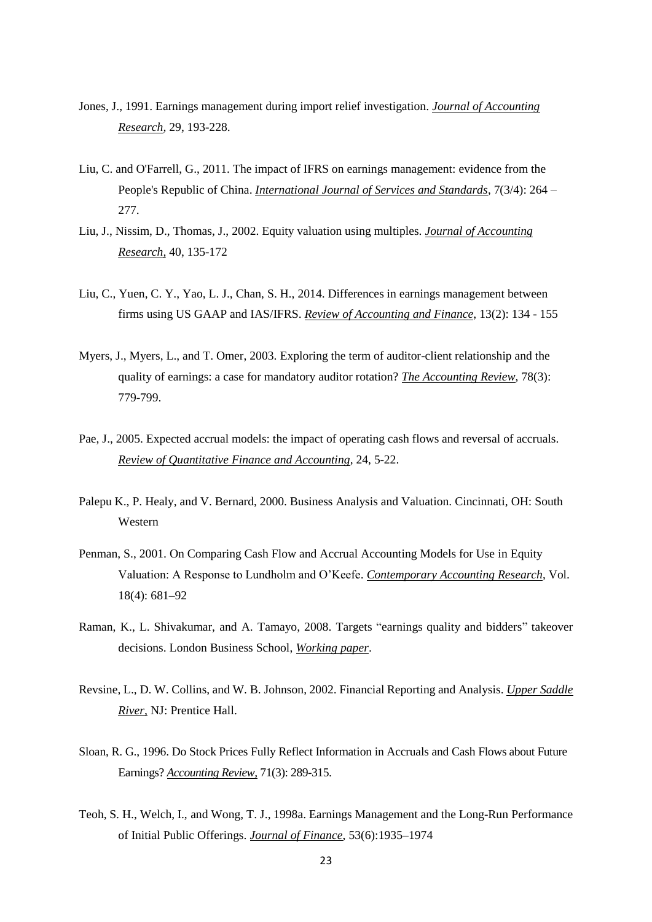- Jones, J., 1991. Earnings management during import relief investigation. *Journal of Accounting Research,* 29, 193-228.
- Liu, C. and O'Farrell, G., 2011. The impact of IFRS on earnings management: evidence from the People's Republic of China. *International Journal of Services and Standards*, 7(3/4): 264 – 277.
- Liu, J., Nissim, D., Thomas, J., 2002. Equity valuation using multiples. *Journal of Accounting Research,* 40, 135-172
- Liu, C., Yuen, C. Y., Yao, L. J., Chan, S. H., 2014. Differences in earnings management between firms using US GAAP and IAS/IFRS. *Review of Accounting and Finance*, 13(2): 134 - 155
- Myers, J., Myers, L., and T. Omer, 2003. Exploring the term of auditor-client relationship and the quality of earnings: a case for mandatory auditor rotation? *The Accounting Review*, 78(3): 779-799.
- Pae, J., 2005. Expected accrual models: the impact of operating cash flows and reversal of accruals. *Review of Quantitative Finance and Accounting,* 24, 5-22.
- Palepu K., P. Healy, and V. Bernard, 2000. Business Analysis and Valuation. Cincinnati, OH: South Western
- Penman, S., 2001. On Comparing Cash Flow and Accrual Accounting Models for Use in Equity Valuation: A Response to Lundholm and O'Keefe. *Contemporary Accounting Research*, Vol. 18(4): 681–92
- Raman, K., L. Shivakumar, and A. Tamayo, 2008. Targets "earnings quality and bidders" takeover decisions. London Business School, *Working paper*.
- Revsine, L., D. W. Collins, and W. B. Johnson, 2002. Financial Reporting and Analysis. *Upper Saddle River,* NJ: Prentice Hall.
- Sloan, R. G., 1996. Do Stock Prices Fully Reflect Information in Accruals and Cash Flows about Future Earnings? *Accounting Review,* 71(3): 289-315.
- Teoh, S. H., Welch, I., and Wong, T. J., 1998a. Earnings Management and the Long-Run Performance of Initial Public Offerings. *Journal of Finance*, 53(6):1935–1974